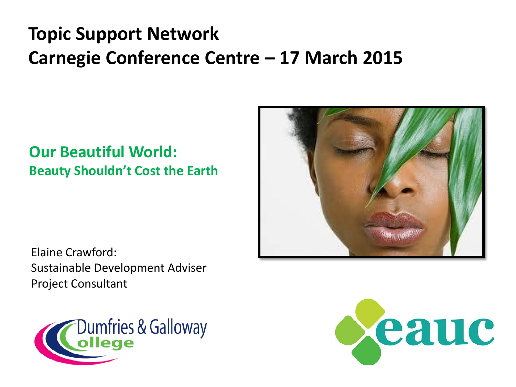### **Topic Support Network Carnegie Conference Centre – 17 March 2015**

#### **Our Beautiful World: Beauty Shouldn't Cost the Earth**



Elaine Crawford: Sustainable Development Adviser Project Consultant



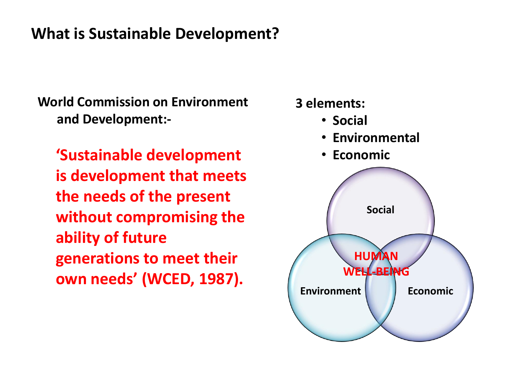#### **What is Sustainable Development?**

**World Commission on Environment and Development:-**

**'Sustainable development is development that meets the needs of the present without compromising the ability of future generations to meet their own needs' (WCED, 1987).**

# **Social Environment Economic HUMAN WELL-BEN 3 elements:** • **Social** • **Environmental** • **Economic**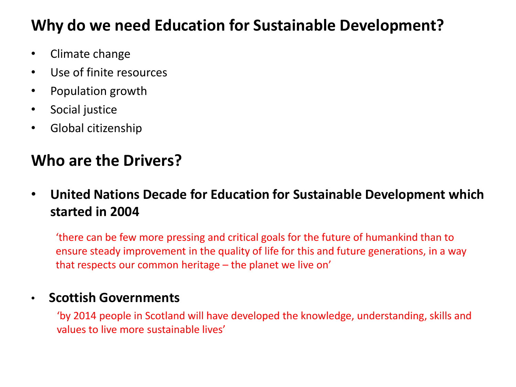### **Why do we need Education for Sustainable Development?**

- Climate change
- Use of finite resources
- Population growth
- Social justice
- Global citizenship

### **Who are the Drivers?**

• **United Nations Decade for Education for Sustainable Development which started in 2004**

'there can be few more pressing and critical goals for the future of humankind than to ensure steady improvement in the quality of life for this and future generations, in a way that respects our common heritage – the planet we live on'

#### • **Scottish Governments**

'by 2014 people in Scotland will have developed the knowledge, understanding, skills and values to live more sustainable lives'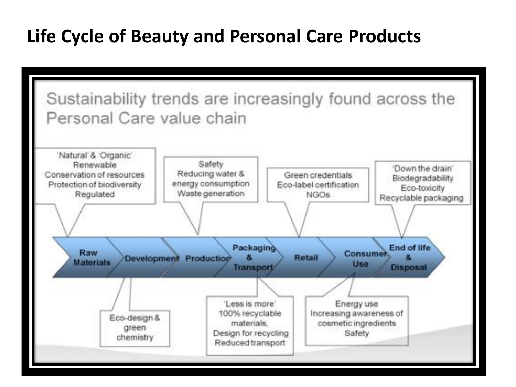### **Life Cycle of Beauty and Personal Care Products**

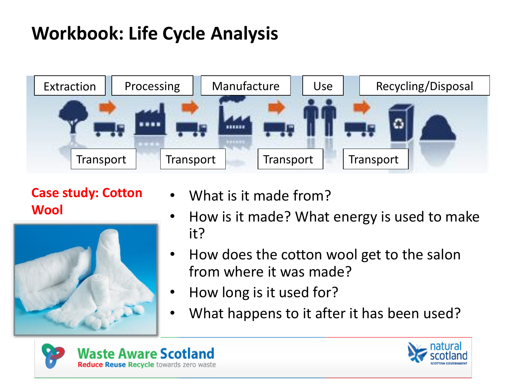## **Workbook: Life Cycle Analysis**



**Case study: Cotton Wool**



- What is it made from?
- How is it made? What energy is used to make it?
- How does the cotton wool get to the salon from where it was made?
- How long is it used for?
- What happens to it after it has been used?



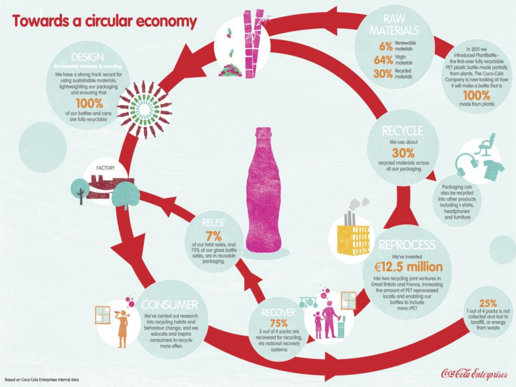

Cea Cola Enterprises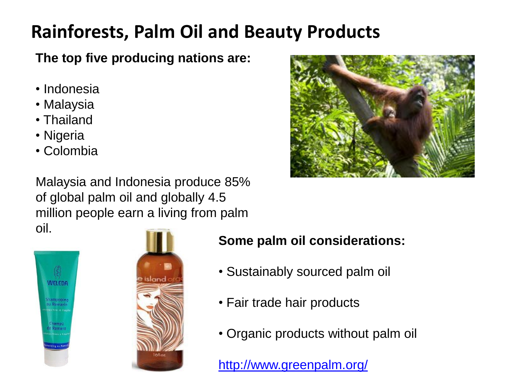### **Rainforests, Palm Oil and Beauty Products**

**The top five producing nations are:**

- Indonesia
- Malaysia
- Thailand
- Nigeria
- Colombia

Malaysia and Indonesia produce 85% of global palm oil and globally 4.5 million people earn a living from palm oil.







- **Some palm oil considerations:**
- Sustainably sourced palm oil
- Fair trade hair products
- Organic products without palm oil

<http://www.greenpalm.org/>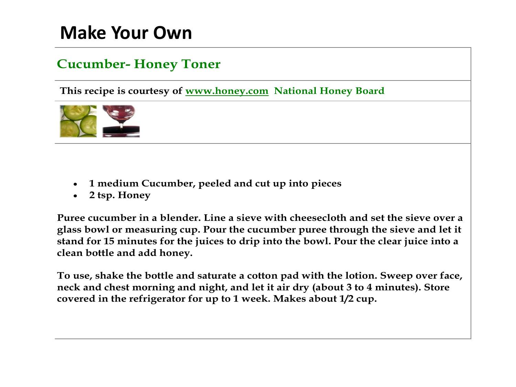### **Make Your Own**

#### **Cucumber- Honey Toner**

**This recipe is courtesy of www.honey.com National Honey Board**



- **1 medium Cucumber, peeled and cut up into pieces**
- **2 tsp. Honey**

**Puree cucumber in a blender. Line a sieve with cheesecloth and set the sieve over a glass bowl or measuring cup. Pour the cucumber puree through the sieve and let it stand for 15 minutes for the juices to drip into the bowl. Pour the clear juice into a clean bottle and add honey.**

**To use, shake the bottle and saturate a cotton pad with the lotion. Sweep over face, neck and chest morning and night, and let it air dry (about 3 to 4 minutes). Store covered in the refrigerator for up to 1 week. Makes about 1/2 cup.**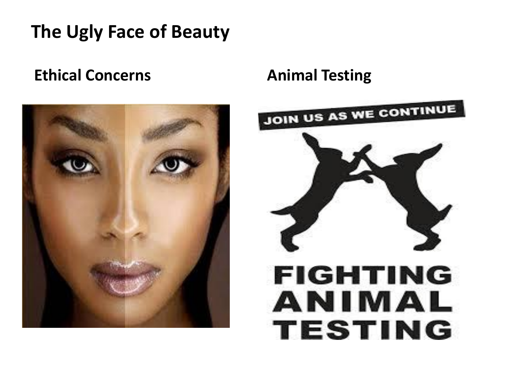## **The Ugly Face of Beauty**

#### **Ethical Concerns Animal Testing**



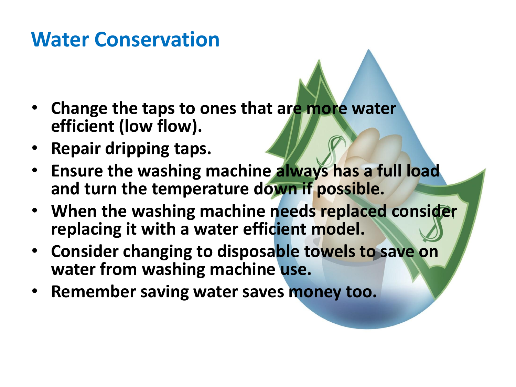## **Water Conservation**

- **Change the taps to ones that are more water efficient (low flow).**
- **Repair dripping taps.**
- **Ensure the washing machine always has a full load and turn the temperature down if possible.**
- **When the washing machine needs replaced consider replacing it with a water efficient model.**
- **Consider changing to disposable towels to save on water from washing machine use.**
- **Remember saving water saves money too.**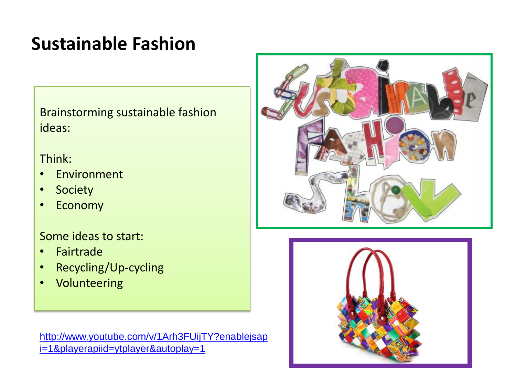## **Sustainable Fashion**

Brainstorming sustainable fashion ideas:

#### Think:

- Environment
- Society
- Economy

Some ideas to start:

- Fairtrade
- Recycling/Up-cycling
- Volunteering

[http://www.youtube.com/v/1Arh3FUijTY?enablejsap](http://www.youtube.com/v/1Arh3FUijTY?enablejsapi=1&playerapiid=ytplayer&autoplay=1) [i=1&playerapiid=ytplayer&autoplay=1](http://www.youtube.com/v/1Arh3FUijTY?enablejsapi=1&playerapiid=ytplayer&autoplay=1)



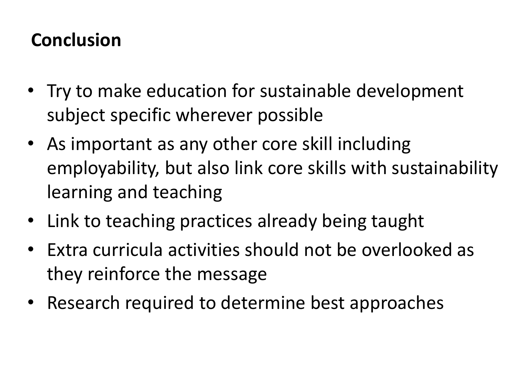### **Conclusion**

- Try to make education for sustainable development subject specific wherever possible
- As important as any other core skill including employability, but also link core skills with sustainability learning and teaching
- Link to teaching practices already being taught
- Extra curricula activities should not be overlooked as they reinforce the message
- Research required to determine best approaches